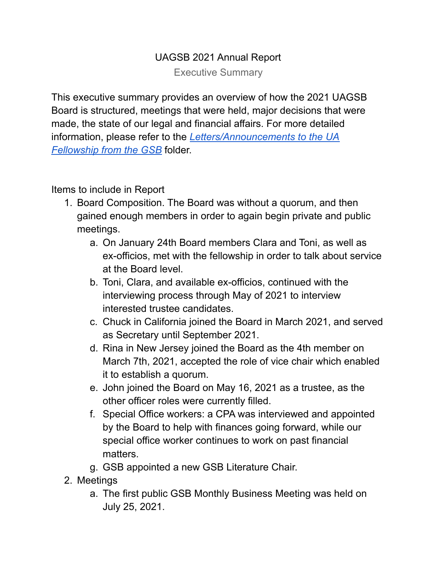## UAGSB 2021 Annual Report

Executive Summary

This executive summary provides an overview of how the 2021 UAGSB Board is structured, meetings that were held, major decisions that were made, the state of our legal and financial affairs. For more detailed information, please refer to the *[Letters/Announcements](https://drive.google.com/drive/folders/13PJcn2A9IIKd7E6uqQhII30sMeEkN-2w?usp=sharing) to the UA [Fellowship](https://drive.google.com/drive/folders/13PJcn2A9IIKd7E6uqQhII30sMeEkN-2w?usp=sharing) from the GSB* folder.

Items to include in Report

- 1. Board Composition. The Board was without a quorum, and then gained enough members in order to again begin private and public meetings.
	- a. On January 24th Board members Clara and Toni, as well as ex-officios, met with the fellowship in order to talk about service at the Board level.
	- b. Toni, Clara, and available ex-officios, continued with the interviewing process through May of 2021 to interview interested trustee candidates.
	- c. Chuck in California joined the Board in March 2021, and served as Secretary until September 2021.
	- d. Rina in New Jersey joined the Board as the 4th member on March 7th, 2021, accepted the role of vice chair which enabled it to establish a quorum.
	- e. John joined the Board on May 16, 2021 as a trustee, as the other officer roles were currently filled.
	- f. Special Office workers: a CPA was interviewed and appointed by the Board to help with finances going forward, while our special office worker continues to work on past financial matters.
	- g. GSB appointed a new GSB Literature Chair.
- 2. Meetings
	- a. The first public GSB Monthly Business Meeting was held on July 25, 2021.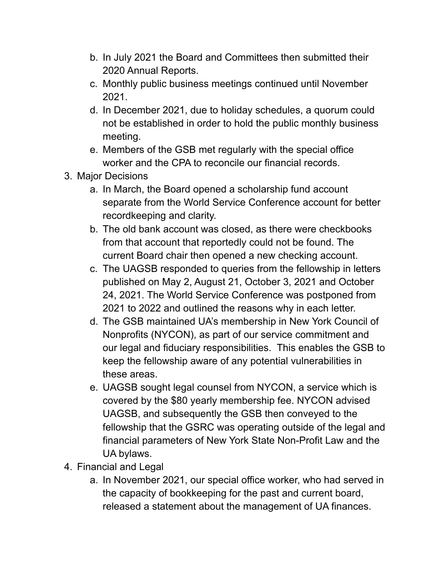- b. In July 2021 the Board and Committees then submitted their 2020 Annual Reports.
- c. Monthly public business meetings continued until November 2021.
- d. In December 2021, due to holiday schedules, a quorum could not be established in order to hold the public monthly business meeting.
- e. Members of the GSB met regularly with the special office worker and the CPA to reconcile our financial records.
- 3. Major Decisions
	- a. In March, the Board opened a scholarship fund account separate from the World Service Conference account for better recordkeeping and clarity.
	- b. The old bank account was closed, as there were checkbooks from that account that reportedly could not be found. The current Board chair then opened a new checking account.
	- c. The UAGSB responded to queries from the fellowship in letters published on May 2, August 21, October 3, 2021 and October 24, 2021. The World Service Conference was postponed from 2021 to 2022 and outlined the reasons why in each letter.
	- d. The GSB maintained UA's membership in New York Council of Nonprofits (NYCON), as part of our service commitment and our legal and fiduciary responsibilities. This enables the GSB to keep the fellowship aware of any potential vulnerabilities in these areas.
	- e. UAGSB sought legal counsel from NYCON, a service which is covered by the \$80 yearly membership fee. NYCON advised UAGSB, and subsequently the GSB then conveyed to the fellowship that the GSRC was operating outside of the legal and financial parameters of New York State Non-Profit Law and the UA bylaws.
- 4. Financial and Legal
	- a. In November 2021, our special office worker, who had served in the capacity of bookkeeping for the past and current board, released a statement about the management of UA finances.